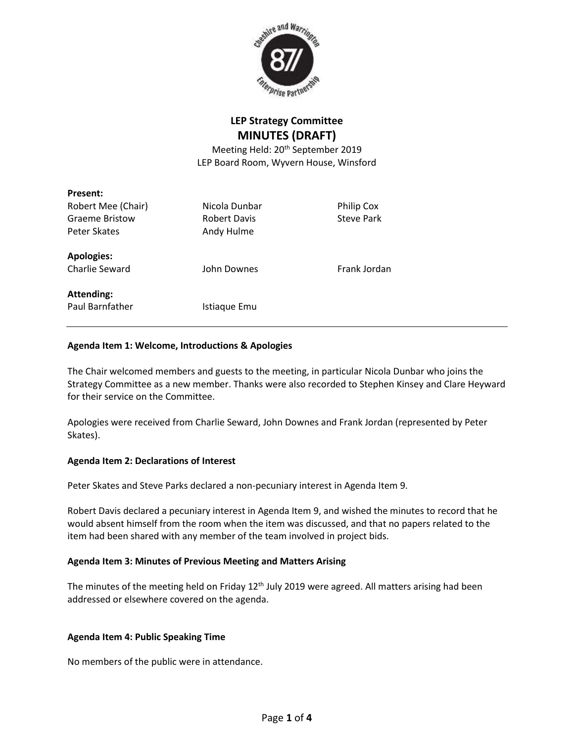

# **LEP Strategy Committee MINUTES (DRAFT)**

Meeting Held: 20<sup>th</sup> September 2019 LEP Board Room, Wyvern House, Winsford

| Present:              |                     |                   |
|-----------------------|---------------------|-------------------|
| Robert Mee (Chair)    | Nicola Dunbar       | Philip Cox        |
| <b>Graeme Bristow</b> | <b>Robert Davis</b> | <b>Steve Park</b> |
| Peter Skates          | Andy Hulme          |                   |
| <b>Apologies:</b>     |                     |                   |
| Charlie Seward        | John Downes         | Frank Jordan      |
| <b>Attending:</b>     |                     |                   |
| Paul Barnfather       | Istiaque Emu        |                   |
|                       |                     |                   |

#### **Agenda Item 1: Welcome, Introductions & Apologies**

The Chair welcomed members and guests to the meeting, in particular Nicola Dunbar who joins the Strategy Committee as a new member. Thanks were also recorded to Stephen Kinsey and Clare Heyward for their service on the Committee.

Apologies were received from Charlie Seward, John Downes and Frank Jordan (represented by Peter Skates).

#### **Agenda Item 2: Declarations of Interest**

Peter Skates and Steve Parks declared a non-pecuniary interest in Agenda Item 9.

Robert Davis declared a pecuniary interest in Agenda Item 9, and wished the minutes to record that he would absent himself from the room when the item was discussed, and that no papers related to the item had been shared with any member of the team involved in project bids.

#### **Agenda Item 3: Minutes of Previous Meeting and Matters Arising**

The minutes of the meeting held on Friday 12<sup>th</sup> July 2019 were agreed. All matters arising had been addressed or elsewhere covered on the agenda.

#### **Agenda Item 4: Public Speaking Time**

No members of the public were in attendance.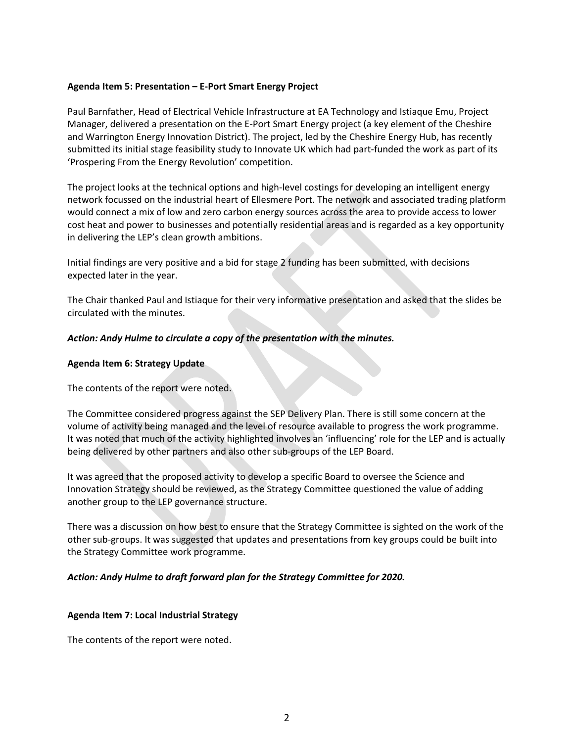#### **Agenda Item 5: Presentation – E-Port Smart Energy Project**

Paul Barnfather, Head of Electrical Vehicle Infrastructure at EA Technology and Istiaque Emu, Project Manager, delivered a presentation on the E-Port Smart Energy project (a key element of the Cheshire and Warrington Energy Innovation District). The project, led by the Cheshire Energy Hub, has recently submitted its initial stage feasibility study to Innovate UK which had part-funded the work as part of its 'Prospering From the Energy Revolution' competition.

The project looks at the technical options and high-level costings for developing an intelligent energy network focussed on the industrial heart of Ellesmere Port. The network and associated trading platform would connect a mix of low and zero carbon energy sources across the area to provide access to lower cost heat and power to businesses and potentially residential areas and is regarded as a key opportunity in delivering the LEP's clean growth ambitions.

Initial findings are very positive and a bid for stage 2 funding has been submitted, with decisions expected later in the year.

The Chair thanked Paul and Istiaque for their very informative presentation and asked that the slides be circulated with the minutes.

#### *Action: Andy Hulme to circulate a copy of the presentation with the minutes.*

#### **Agenda Item 6: Strategy Update**

The contents of the report were noted.

The Committee considered progress against the SEP Delivery Plan. There is still some concern at the volume of activity being managed and the level of resource available to progress the work programme. It was noted that much of the activity highlighted involves an 'influencing' role for the LEP and is actually being delivered by other partners and also other sub-groups of the LEP Board.

It was agreed that the proposed activity to develop a specific Board to oversee the Science and Innovation Strategy should be reviewed, as the Strategy Committee questioned the value of adding another group to the LEP governance structure.

There was a discussion on how best to ensure that the Strategy Committee is sighted on the work of the other sub-groups. It was suggested that updates and presentations from key groups could be built into the Strategy Committee work programme.

#### *Action: Andy Hulme to draft forward plan for the Strategy Committee for 2020.*

#### **Agenda Item 7: Local Industrial Strategy**

The contents of the report were noted.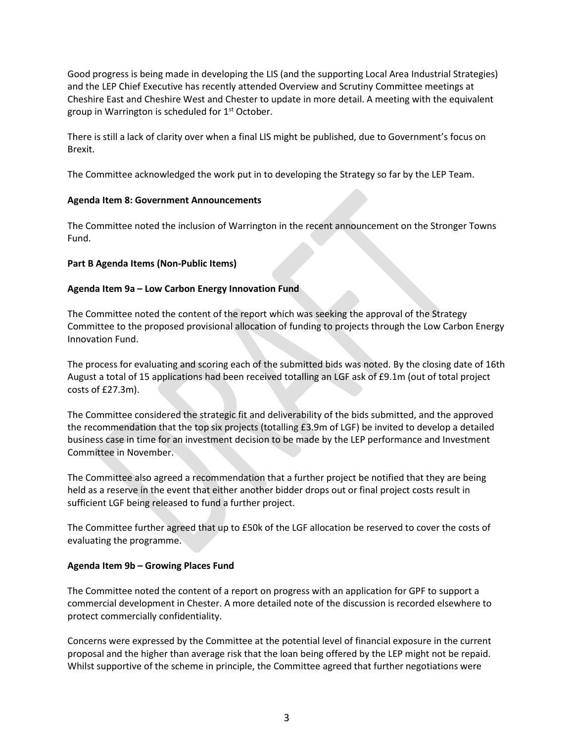Good progress is being made in developing the LIS (and the supporting Local Area Industrial Strategies) and the LEP Chief Executive has recently attended Overview and Scrutiny Committee meetings at Cheshire East and Cheshire West and Chester to update in more detail. A meeting with the equivalent group in Warrington is scheduled for  $1<sup>st</sup>$  October.

There is still a lack of clarity over when a final LIS might be published, due to Government's focus on Brexit.

The Committee acknowledged the work put in to developing the Strategy so far by the LEP Team.

# **Agenda Item 8: Government Announcements**

The Committee noted the inclusion of Warrington in the recent announcement on the Stronger Towns Fund.

# **Part B Agenda Items (Non-Public Items)**

# **Agenda Item 9a – Low Carbon Energy Innovation Fund**

The Committee noted the content of the report which was seeking the approval of the Strategy Committee to the proposed provisional allocation of funding to projects through the Low Carbon Energy Innovation Fund.

The process for evaluating and scoring each of the submitted bids was noted. By the closing date of 16th August a total of 15 applications had been received totalling an LGF ask of £9.1m (out of total project costs of £27.3m).

The Committee considered the strategic fit and deliverability of the bids submitted, and the approved the recommendation that the top six projects (totalling £3.9m of LGF) be invited to develop a detailed business case in time for an investment decision to be made by the LEP performance and Investment Committee in November.

The Committee also agreed a recommendation that a further project be notified that they are being held as a reserve in the event that either another bidder drops out or final project costs result in sufficient LGF being released to fund a further project.

The Committee further agreed that up to £50k of the LGF allocation be reserved to cover the costs of evaluating the programme.

#### **Agenda Item 9b – Growing Places Fund**

The Committee noted the content of a report on progress with an application for GPF to support a commercial development in Chester. A more detailed note of the discussion is recorded elsewhere to protect commercially confidentiality.

Concerns were expressed by the Committee at the potential level of financial exposure in the current proposal and the higher than average risk that the loan being offered by the LEP might not be repaid. Whilst supportive of the scheme in principle, the Committee agreed that further negotiations were